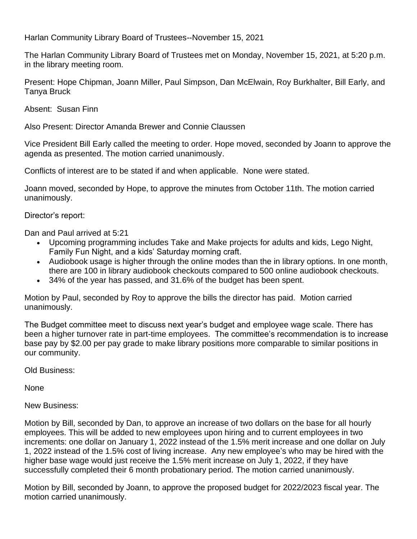Harlan Community Library Board of Trustees--November 15, 2021

The Harlan Community Library Board of Trustees met on Monday, November 15, 2021, at 5:20 p.m. in the library meeting room.

Present: Hope Chipman, Joann Miller, Paul Simpson, Dan McElwain, Roy Burkhalter, Bill Early, and Tanya Bruck

Absent: Susan Finn

Also Present: Director Amanda Brewer and Connie Claussen

Vice President Bill Early called the meeting to order. Hope moved, seconded by Joann to approve the agenda as presented. The motion carried unanimously.

Conflicts of interest are to be stated if and when applicable. None were stated.

Joann moved, seconded by Hope, to approve the minutes from October 11th. The motion carried unanimously.

Director's report:

Dan and Paul arrived at 5:21

- Upcoming programming includes Take and Make projects for adults and kids, Lego Night, Family Fun Night, and a kids' Saturday morning craft.
- Audiobook usage is higher through the online modes than the in library options. In one month, there are 100 in library audiobook checkouts compared to 500 online audiobook checkouts.
- 34% of the year has passed, and 31.6% of the budget has been spent.

Motion by Paul, seconded by Roy to approve the bills the director has paid. Motion carried unanimously.

The Budget committee meet to discuss next year's budget and employee wage scale. There has been a higher turnover rate in part-time employees. The committee's recommendation is to increase base pay by \$2.00 per pay grade to make library positions more comparable to similar positions in our community.

Old Business:

None

New Business:

Motion by Bill, seconded by Dan, to approve an increase of two dollars on the base for all hourly employees. This will be added to new employees upon hiring and to current employees in two increments: one dollar on January 1, 2022 instead of the 1.5% merit increase and one dollar on July 1, 2022 instead of the 1.5% cost of living increase. Any new employee's who may be hired with the higher base wage would just receive the 1.5% merit increase on July 1, 2022, if they have successfully completed their 6 month probationary period. The motion carried unanimously.

Motion by Bill, seconded by Joann, to approve the proposed budget for 2022/2023 fiscal year. The motion carried unanimously.